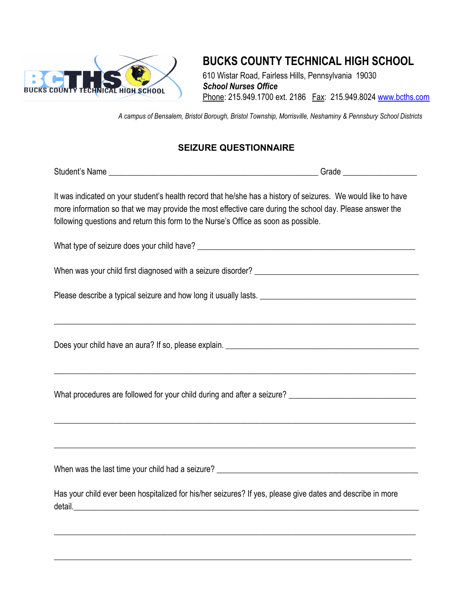

## **BUCKS COUNTY TECHNICAL HIGH SCHOOL**

610 Wistar Road, Fairless Hills, Pennsylvania 19030 *School Nurses Office* Phone: 215.949.1700 ext. 2186 Fax: 215.949.8024 [www.bcths.com](http://www.bcths.com/)

*A campus of Bensalem, Bristol Borough, Bristol Township, Morrisville, Neshaminy & Pennsbury School Districts*

## **SEIZURE QUESTIONNAIRE**

| It was indicated on your student's health record that he/she has a history of seizures. We would like to have<br>more information so that we may provide the most effective care during the school day. Please answer the<br>following questions and return this form to the Nurse's Office as soon as possible. |  |  |  |
|------------------------------------------------------------------------------------------------------------------------------------------------------------------------------------------------------------------------------------------------------------------------------------------------------------------|--|--|--|
|                                                                                                                                                                                                                                                                                                                  |  |  |  |
|                                                                                                                                                                                                                                                                                                                  |  |  |  |
|                                                                                                                                                                                                                                                                                                                  |  |  |  |
| <u> 1989 - Jan James James James James James James James James James James James James James James James James J</u>                                                                                                                                                                                             |  |  |  |
|                                                                                                                                                                                                                                                                                                                  |  |  |  |
|                                                                                                                                                                                                                                                                                                                  |  |  |  |
|                                                                                                                                                                                                                                                                                                                  |  |  |  |
|                                                                                                                                                                                                                                                                                                                  |  |  |  |
| Has your child ever been hospitalized for his/her seizures? If yes, please give dates and describe in more                                                                                                                                                                                                       |  |  |  |
|                                                                                                                                                                                                                                                                                                                  |  |  |  |

 $\_$  , and the set of the set of the set of the set of the set of the set of the set of the set of the set of the set of the set of the set of the set of the set of the set of the set of the set of the set of the set of th